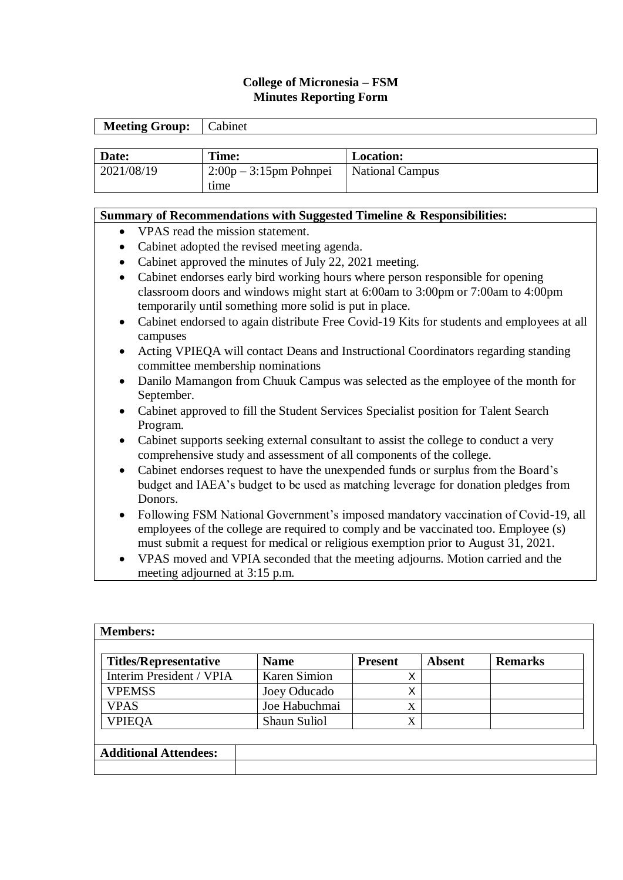## **College of Micronesia – FSM Minutes Reporting Form**

| <b>Meeting Group:</b> | Cabinet                |                        |
|-----------------------|------------------------|------------------------|
|                       |                        |                        |
| Date:                 | Time:                  | <b>Location:</b>       |
| 2021/08/19            | $2:00p-3:15pm$ Pohnpei | <b>National Campus</b> |
|                       | time                   |                        |

## **Summary of Recommendations with Suggested Timeline & Responsibilities:**

- VPAS read the mission statement.
- Cabinet adopted the revised meeting agenda.
- Cabinet approved the minutes of July 22, 2021 meeting.
- Cabinet endorses early bird working hours where person responsible for opening classroom doors and windows might start at 6:00am to 3:00pm or 7:00am to 4:00pm temporarily until something more solid is put in place.
- Cabinet endorsed to again distribute Free Covid-19 Kits for students and employees at all campuses
- Acting VPIEQA will contact Deans and Instructional Coordinators regarding standing committee membership nominations
- Danilo Mamangon from Chuuk Campus was selected as the employee of the month for September.
- Cabinet approved to fill the Student Services Specialist position for Talent Search Program.
- Cabinet supports seeking external consultant to assist the college to conduct a very comprehensive study and assessment of all components of the college.
- Cabinet endorses request to have the unexpended funds or surplus from the Board's budget and IAEA's budget to be used as matching leverage for donation pledges from Donors.
- Following FSM National Government's imposed mandatory vaccination of Covid-19, all employees of the college are required to comply and be vaccinated too. Employee (s) must submit a request for medical or religious exemption prior to August 31, 2021.
- VPAS moved and VPIA seconded that the meeting adjourns. Motion carried and the meeting adjourned at 3:15 p.m.

| <b>Members:</b>              |                     |                |               |                |  |  |
|------------------------------|---------------------|----------------|---------------|----------------|--|--|
| <b>Titles/Representative</b> | <b>Name</b>         | <b>Present</b> | <b>Absent</b> | <b>Remarks</b> |  |  |
| Interim President / VPIA     | <b>Karen Simion</b> | X              |               |                |  |  |
| <b>VPEMSS</b>                | Joey Oducado        | Χ              |               |                |  |  |
| <b>VPAS</b>                  | Joe Habuchmai       | X              |               |                |  |  |
| <b>VPIEQA</b>                | Shaun Suliol        | X              |               |                |  |  |
|                              |                     |                |               |                |  |  |
| <b>Additional Attendees:</b> |                     |                |               |                |  |  |
|                              |                     |                |               |                |  |  |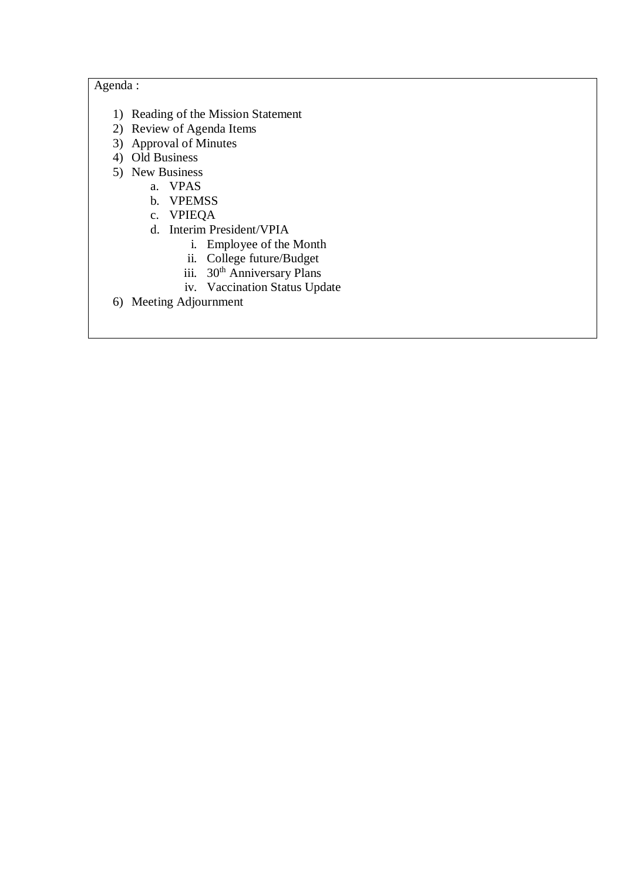# Agenda :

- 1) Reading of the Mission Statement
- 2) Review of Agenda Items
- 3) Approval of Minutes
- 4) Old Business
- 5) New Business
	- a. VPAS
	- b. VPEMSS
	- c. VPIEQA
	- d. Interim President/VPIA
		- i. Employee of the Month
		- ii. College future/Budget
		- iii. 30<sup>th</sup> Anniversary Plans
		- iv. Vaccination Status Update
- 6) Meeting Adjournment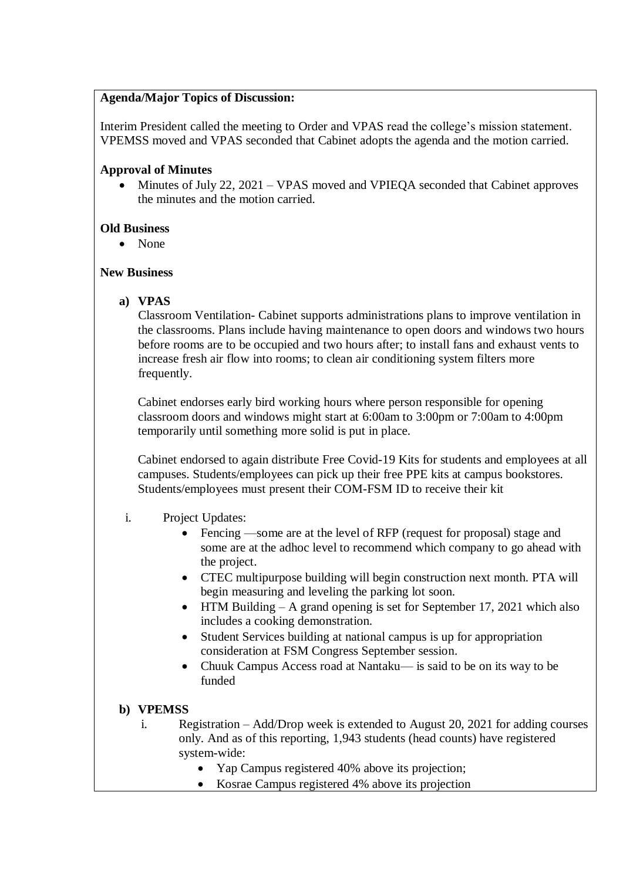#### **Agenda/Major Topics of Discussion:**

Interim President called the meeting to Order and VPAS read the college's mission statement. VPEMSS moved and VPAS seconded that Cabinet adopts the agenda and the motion carried.

## **Approval of Minutes**

 Minutes of July 22, 2021 – VPAS moved and VPIEQA seconded that Cabinet approves the minutes and the motion carried.

## **Old Business**

• None

#### **New Business**

**a) VPAS**

 Classroom Ventilation- Cabinet supports administrations plans to improve ventilation in the classrooms. Plans include having maintenance to open doors and windows two hours before rooms are to be occupied and two hours after; to install fans and exhaust vents to increase fresh air flow into rooms; to clean air conditioning system filters more frequently.

Cabinet endorses early bird working hours where person responsible for opening classroom doors and windows might start at 6:00am to 3:00pm or 7:00am to 4:00pm temporarily until something more solid is put in place.

Cabinet endorsed to again distribute Free Covid-19 Kits for students and employees at all campuses. Students/employees can pick up their free PPE kits at campus bookstores. Students/employees must present their COM-FSM ID to receive their kit

## i. Project Updates:

- Fencing —some are at the level of RFP (request for proposal) stage and some are at the adhoc level to recommend which company to go ahead with the project.
- CTEC multipurpose building will begin construction next month. PTA will begin measuring and leveling the parking lot soon.
- $\bullet$  HTM Building A grand opening is set for September 17, 2021 which also includes a cooking demonstration.
- Student Services building at national campus is up for appropriation consideration at FSM Congress September session.
- Chuuk Campus Access road at Nantaku— is said to be on its way to be funded

## **b) VPEMSS**

- i. Registration Add/Drop week is extended to August 20, 2021 for adding courses only. And as of this reporting, 1,943 students (head counts) have registered system-wide:
	- Yap Campus registered 40% above its projection;
	- Kosrae Campus registered 4% above its projection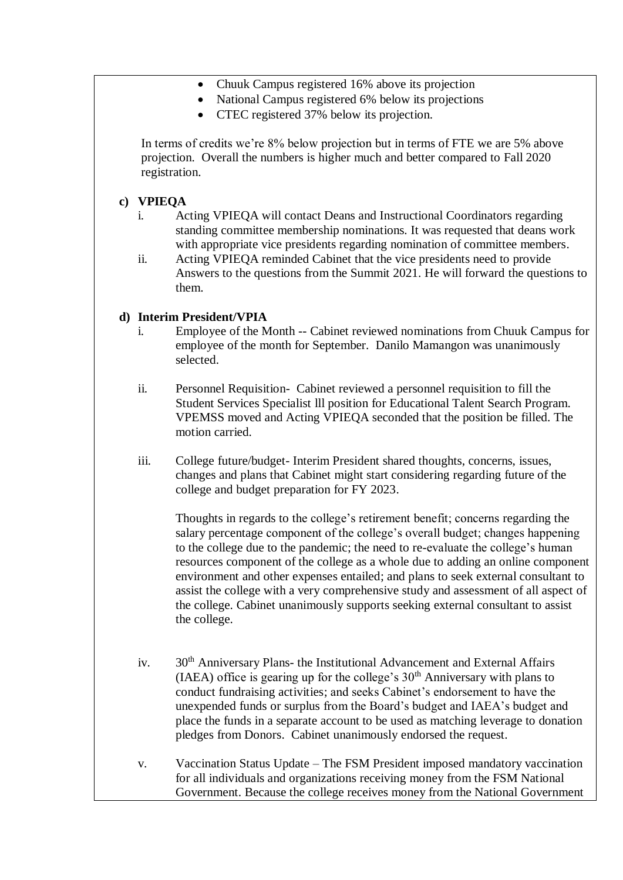- Chuuk Campus registered 16% above its projection
- National Campus registered 6% below its projections
- CTEC registered 37% below its projection.

In terms of credits we're 8% below projection but in terms of FTE we are 5% above projection. Overall the numbers is higher much and better compared to Fall 2020 registration.

## **c) VPIEQA**

- i. Acting VPIEQA will contact Deans and Instructional Coordinators regarding standing committee membership nominations. It was requested that deans work with appropriate vice presidents regarding nomination of committee members.
- ii. Acting VPIEQA reminded Cabinet that the vice presidents need to provide Answers to the questions from the Summit 2021. He will forward the questions to them.

#### **d) Interim President/VPIA**

- i. Employee of the Month -- Cabinet reviewed nominations from Chuuk Campus for employee of the month for September. Danilo Mamangon was unanimously selected.
- ii. Personnel Requisition- Cabinet reviewed a personnel requisition to fill the Student Services Specialist lll position for Educational Talent Search Program. VPEMSS moved and Acting VPIEQA seconded that the position be filled. The motion carried.
- iii. College future/budget- Interim President shared thoughts, concerns, issues, changes and plans that Cabinet might start considering regarding future of the college and budget preparation for FY 2023.

Thoughts in regards to the college's retirement benefit; concerns regarding the salary percentage component of the college's overall budget; changes happening to the college due to the pandemic; the need to re-evaluate the college's human resources component of the college as a whole due to adding an online component environment and other expenses entailed; and plans to seek external consultant to assist the college with a very comprehensive study and assessment of all aspect of the college. Cabinet unanimously supports seeking external consultant to assist the college.

- iv. 30<sup>th</sup> Anniversary Plans- the Institutional Advancement and External Affairs (IAEA) office is gearing up for the college's  $30<sup>th</sup>$  Anniversary with plans to conduct fundraising activities; and seeks Cabinet's endorsement to have the unexpended funds or surplus from the Board's budget and IAEA's budget and place the funds in a separate account to be used as matching leverage to donation pledges from Donors. Cabinet unanimously endorsed the request.
- v. Vaccination Status Update The FSM President imposed mandatory vaccination for all individuals and organizations receiving money from the FSM National Government. Because the college receives money from the National Government